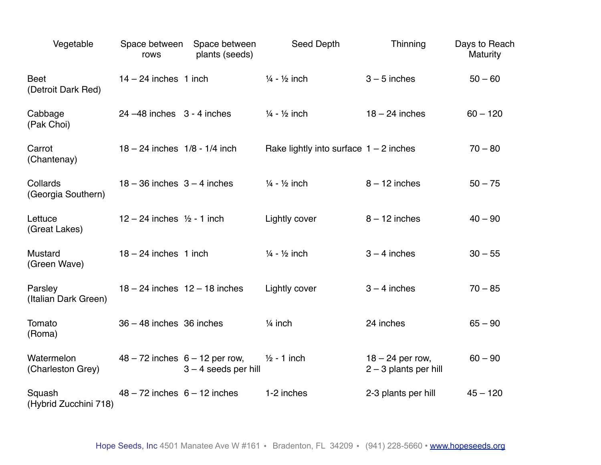| Vegetable                         | Space between<br>rows             | Space between<br>plants (seeds)                              | Seed Depth                               | Thinning                                      | Days to Reach<br><b>Maturity</b> |
|-----------------------------------|-----------------------------------|--------------------------------------------------------------|------------------------------------------|-----------------------------------------------|----------------------------------|
| <b>Beet</b><br>(Detroit Dark Red) | $14 - 24$ inches 1 inch           |                                                              | $\frac{1}{4}$ - $\frac{1}{2}$ inch       | $3 - 5$ inches                                | $50 - 60$                        |
| Cabbage<br>(Pak Choi)             | $24 - 48$ inches $3 - 4$ inches   |                                                              | $\frac{1}{4}$ - $\frac{1}{2}$ inch       | $18 - 24$ inches                              | $60 - 120$                       |
| Carrot<br>(Chantenay)             | $18 - 24$ inches $1/8 - 1/4$ inch |                                                              | Rake lightly into surface $1 - 2$ inches |                                               | $70 - 80$                        |
| Collards<br>(Georgia Southern)    | $18 - 36$ inches $3 - 4$ inches   |                                                              | $\frac{1}{4}$ - $\frac{1}{2}$ inch       | $8 - 12$ inches                               | $50 - 75$                        |
| Lettuce<br>(Great Lakes)          | $12 - 24$ inches $1/2 - 1$ inch   |                                                              | Lightly cover                            | $8 - 12$ inches                               | $40 - 90$                        |
| <b>Mustard</b><br>(Green Wave)    | $18 - 24$ inches 1 inch           |                                                              | $\frac{1}{4}$ - $\frac{1}{2}$ inch       | $3 - 4$ inches                                | $30 - 55$                        |
| Parsley<br>(Italian Dark Green)   |                                   | $18 - 24$ inches $12 - 18$ inches                            | Lightly cover                            | $3 - 4$ inches                                | $70 - 85$                        |
| Tomato<br>(Roma)                  | $36 - 48$ inches $36$ inches      |                                                              | $1/4$ inch                               | 24 inches                                     | $65 - 90$                        |
| Watermelon<br>(Charleston Grey)   |                                   | $48 - 72$ inches $6 - 12$ per row,<br>$3 - 4$ seeds per hill | $1/2 - 1$ inch                           | $18 - 24$ per row,<br>$2 - 3$ plants per hill | $60 - 90$                        |
| Squash<br>(Hybrid Zucchini 718)   | $48 - 72$ inches $6 - 12$ inches  |                                                              | 1-2 inches                               | 2-3 plants per hill                           | $45 - 120$                       |